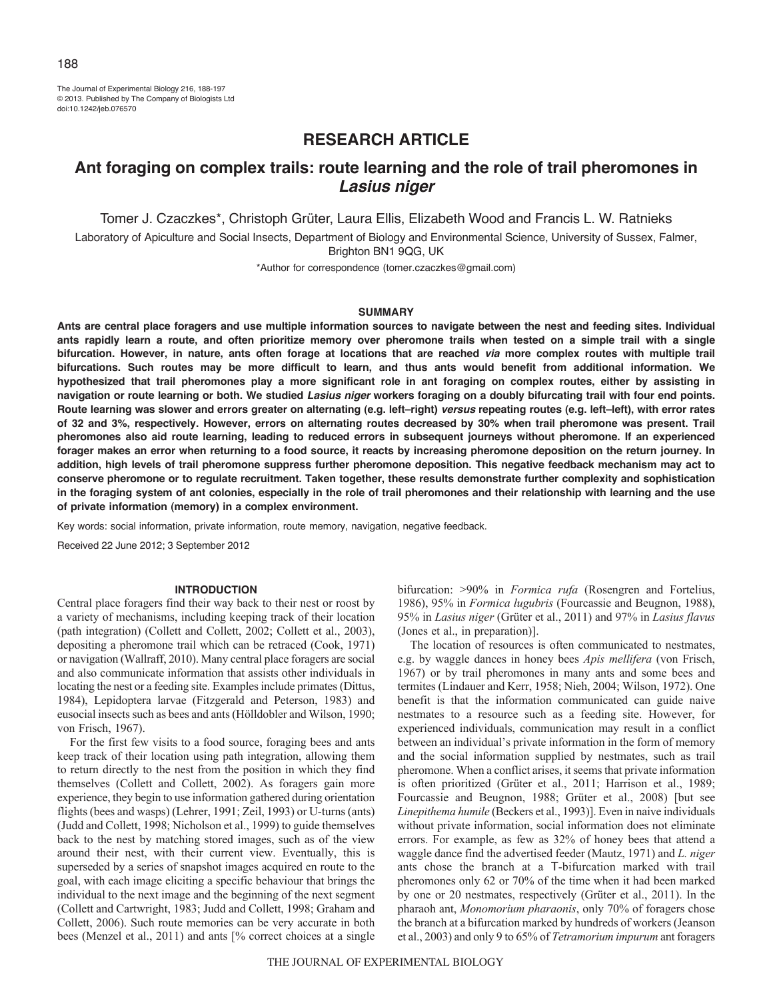The Journal of Experimental Biology 216, 188-197 © 2013. Published by The Company of Biologists Ltd doi:10.1242/jeb.076570

# **RESEARCH ARTICLE**

# **Ant foraging on complex trails: route learning and the role of trail pheromones in** *Lasius niger*

Tomer J. Czaczkes\*, Christoph Grüter, Laura Ellis, Elizabeth Wood and Francis L. W. Ratnieks

Laboratory of Apiculture and Social Insects, Department of Biology and Environmental Science, University of Sussex, Falmer, Brighton BN1 9QG, UK

\*Author for correspondence (tomer.czaczkes@gmail.com)

## **SUMMARY**

**Ants are central place foragers and use multiple information sources to navigate between the nest and feeding sites. Individual ants rapidly learn a route, and often prioritize memory over pheromone trails when tested on a simple trail with a single bifurcation. However, in nature, ants often forage at locations that are reached** *via* **more complex routes with multiple trail bifurcations. Such routes may be more difficult to learn, and thus ants would benefit from additional information. We hypothesized that trail pheromones play a more significant role in ant foraging on complex routes, either by assisting in navigation or route learning or both. We studied** *Lasius niger* **workers foraging on a doubly bifurcating trail with four end points. Route learning was slower and errors greater on alternating (e.g. left–right)** *versus* **repeating routes (e.g. left–left), with error rates of 32 and 3%, respectively. However, errors on alternating routes decreased by 30% when trail pheromone was present. Trail pheromones also aid route learning, leading to reduced errors in subsequent journeys without pheromone. If an experienced forager makes an error when returning to a food source, it reacts by increasing pheromone deposition on the return journey. In addition, high levels of trail pheromone suppress further pheromone deposition. This negative feedback mechanism may act to conserve pheromone or to regulate recruitment. Taken together, these results demonstrate further complexity and sophistication in the foraging system of ant colonies, especially in the role of trail pheromones and their relationship with learning and the use of private information (memory) in a complex environment.**

Key words: social information, private information, route memory, navigation, negative feedback.

Received 22 June 2012; 3 September 2012

#### **INTRODUCTION**

Central place foragers find their way back to their nest or roost by a variety of mechanisms, including keeping track of their location (path integration) (Collett and Collett, 2002; Collett et al., 2003), depositing a pheromone trail which can be retraced (Cook, 1971) or navigation (Wallraff, 2010). Many central place foragers are social and also communicate information that assists other individuals in locating the nest or a feeding site. Examples include primates (Dittus, 1984), Lepidoptera larvae (Fitzgerald and Peterson, 1983) and eusocial insects such as bees and ants (Hölldobler and Wilson, 1990; von Frisch, 1967).

For the first few visits to a food source, foraging bees and ants keep track of their location using path integration, allowing them to return directly to the nest from the position in which they find themselves (Collett and Collett, 2002). As foragers gain more experience, they begin to use information gathered during orientation flights (bees and wasps) (Lehrer, 1991; Zeil, 1993) or U-turns (ants) (Judd and Collett, 1998; Nicholson et al., 1999) to guide themselves back to the nest by matching stored images, such as of the view around their nest, with their current view. Eventually, this is superseded by a series of snapshot images acquired en route to the goal, with each image eliciting a specific behaviour that brings the individual to the next image and the beginning of the next segment (Collett and Cartwright, 1983; Judd and Collett, 1998; Graham and Collett, 2006). Such route memories can be very accurate in both bees (Menzel et al., 2011) and ants [% correct choices at a single bifurcation: >90% in *Formica rufa* (Rosengren and Fortelius, 1986), 95% in *Formica lugubris* (Fourcassie and Beugnon, 1988), 95% in *Lasius niger* (Grüter et al., 2011) and 97% in *Lasius flavus* (Jones et al., in preparation)].

The location of resources is often communicated to nestmates, e.g. by waggle dances in honey bees *Apis mellifera* (von Frisch, 1967) or by trail pheromones in many ants and some bees and termites (Lindauer and Kerr, 1958; Nieh, 2004; Wilson, 1972). One benefit is that the information communicated can guide naive nestmates to a resource such as a feeding site. However, for experienced individuals, communication may result in a conflict between an individual's private information in the form of memory and the social information supplied by nestmates, such as trail pheromone. When a conflict arises, it seems that private information is often prioritized (Grüter et al., 2011; Harrison et al., 1989; Fourcassie and Beugnon, 1988; Grüter et al., 2008) [but see *Linepithema humile* (Beckers et al., 1993)]. Even in naive individuals without private information, social information does not eliminate errors. For example, as few as 32% of honey bees that attend a waggle dance find the advertised feeder (Mautz, 1971) and *L. niger* ants chose the branch at a T-bifurcation marked with trail pheromones only 62 or 70% of the time when it had been marked by one or 20 nestmates, respectively (Grüter et al., 2011). In the pharaoh ant, *Monomorium pharaonis*, only 70% of foragers chose the branch at a bifurcation marked by hundreds of workers (Jeanson et al., 2003) and only 9 to 65% of *Tetramorium impurum* ant foragers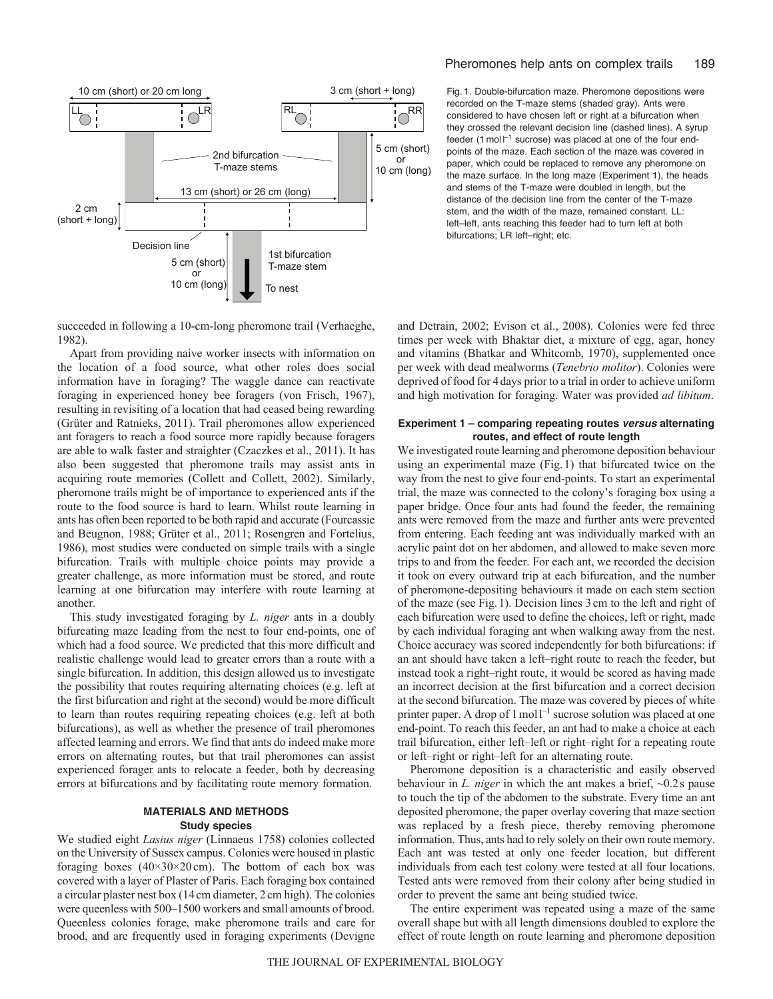



Fig. 1. Double-bifurcation maze. Pheromone depositions were recorded on the T-maze stems (shaded gray). Ants were considered to have chosen left or right at a bifurcation when they crossed the relevant decision line (dashed lines). A syrup feeder (1 mol $I^{-1}$  sucrose) was placed at one of the four endpoints of the maze. Each section of the maze was covered in paper, which could be replaced to remove any pheromone on the maze surface. In the long maze (Experiment 1), the heads and stems of the T-maze were doubled in length, but the distance of the decision line from the center of the T-maze stem, and the width of the maze, remained constant. LL: left–left, ants reaching this feeder had to turn left at both bifurcations; LR left–right; etc.

succeeded in following a 10-cm-long pheromone trail (Verhaeghe, 1982).

Apart from providing naive worker insects with information on the location of a food source, what other roles does social information have in foraging? The waggle dance can reactivate foraging in experienced honey bee foragers (von Frisch, 1967), resulting in revisiting of a location that had ceased being rewarding (Grüter and Ratnieks, 2011). Trail pheromones allow experienced ant foragers to reach a food source more rapidly because foragers are able to walk faster and straighter (Czaczkes et al., 2011). It has also been suggested that pheromone trails may assist ants in acquiring route memories (Collett and Collett, 2002). Similarly, pheromone trails might be of importance to experienced ants if the route to the food source is hard to learn. Whilst route learning in ants has often been reported to be both rapid and accurate (Fourcassie and Beugnon, 1988; Grüter et al., 2011; Rosengren and Fortelius, 1986), most studies were conducted on simple trails with a single bifurcation. Trails with multiple choice points may provide a greater challenge, as more information must be stored, and route learning at one bifurcation may interfere with route learning at another.

This study investigated foraging by *L. niger* ants in a doubly bifurcating maze leading from the nest to four end-points, one of which had a food source. We predicted that this more difficult and realistic challenge would lead to greater errors than a route with a single bifurcation. In addition, this design allowed us to investigate the possibility that routes requiring alternating choices (e.g. left at the first bifurcation and right at the second) would be more difficult to learn than routes requiring repeating choices (e.g. left at both bifurcations), as well as whether the presence of trail pheromones affected learning and errors. We find that ants do indeed make more errors on alternating routes, but that trail pheromones can assist experienced forager ants to relocate a feeder, both by decreasing errors at bifurcations and by facilitating route memory formation.

## **MATERIALS AND METHODS Study species**

We studied eight *Lasius niger* (Linnaeus 1758) colonies collected on the University of Sussex campus. Colonies were housed in plastic foraging boxes  $(40\times30\times20\,\text{cm})$ . The bottom of each box was covered with a layer of Plaster of Paris. Each foraging box contained a circular plaster nest box (14cm diameter, 2cm high). The colonies were queenless with 500–1500 workers and small amounts of brood. Queenless colonies forage, make pheromone trails and care for brood, and are frequently used in foraging experiments (Devigne and Detrain, 2002; Evison et al., 2008). Colonies were fed three times per week with Bhaktar diet, a mixture of egg, agar, honey and vitamins (Bhatkar and Whitcomb, 1970), supplemented once per week with dead mealworms (*Tenebrio molitor*). Colonies were deprived of food for 4days prior to a trial in order to achieve uniform and high motivation for foraging. Water was provided *ad libitum*.

## **Experiment 1 – comparing repeating routes** *versus* **alternating routes, and effect of route length**

We investigated route learning and pheromone deposition behaviour using an experimental maze (Fig.1) that bifurcated twice on the way from the nest to give four end-points. To start an experimental trial, the maze was connected to the colony's foraging box using a paper bridge. Once four ants had found the feeder, the remaining ants were removed from the maze and further ants were prevented from entering. Each feeding ant was individually marked with an acrylic paint dot on her abdomen, and allowed to make seven more trips to and from the feeder. For each ant, we recorded the decision it took on every outward trip at each bifurcation, and the number of pheromone-depositing behaviours it made on each stem section of the maze (see Fig.1). Decision lines 3cm to the left and right of each bifurcation were used to define the choices, left or right, made by each individual foraging ant when walking away from the nest. Choice accuracy was scored independently for both bifurcations: if an ant should have taken a left–right route to reach the feeder, but instead took a right–right route, it would be scored as having made an incorrect decision at the first bifurcation and a correct decision at the second bifurcation. The maze was covered by pieces of white printer paper. A drop of  $1 \text{ mol}^{-1}$  sucrose solution was placed at one end-point. To reach this feeder, an ant had to make a choice at each trail bifurcation, either left–left or right–right for a repeating route or left–right or right–left for an alternating route.

Pheromone deposition is a characteristic and easily observed behaviour in *L. niger* in which the ant makes a brief, ~0.2s pause to touch the tip of the abdomen to the substrate. Every time an ant deposited pheromone, the paper overlay covering that maze section was replaced by a fresh piece, thereby removing pheromone information. Thus, ants had to rely solely on their own route memory. Each ant was tested at only one feeder location, but different individuals from each test colony were tested at all four locations. Tested ants were removed from their colony after being studied in order to prevent the same ant being studied twice.

The entire experiment was repeated using a maze of the same overall shape but with all length dimensions doubled to explore the effect of route length on route learning and pheromone deposition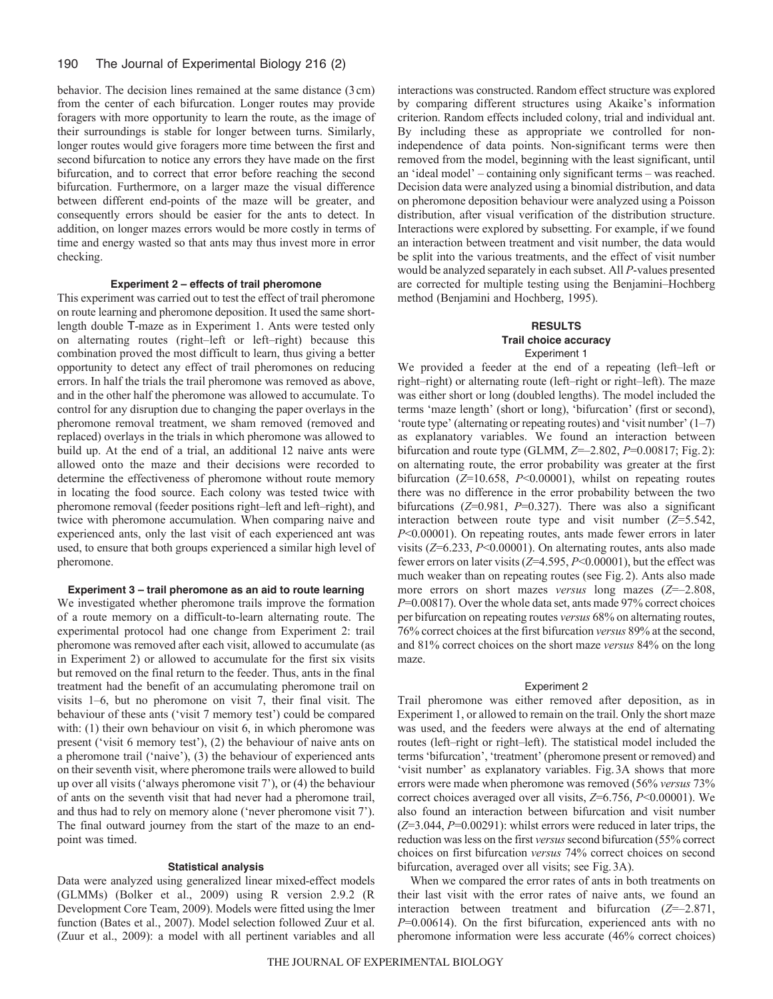behavior. The decision lines remained at the same distance (3 cm) from the center of each bifurcation. Longer routes may provide foragers with more opportunity to learn the route, as the image of their surroundings is stable for longer between turns. Similarly, longer routes would give foragers more time between the first and second bifurcation to notice any errors they have made on the first bifurcation, and to correct that error before reaching the second bifurcation. Furthermore, on a larger maze the visual difference between different end-points of the maze will be greater, and consequently errors should be easier for the ants to detect. In addition, on longer mazes errors would be more costly in terms of time and energy wasted so that ants may thus invest more in error checking.

#### **Experiment 2 – effects of trail pheromone**

This experiment was carried out to test the effect of trail pheromone on route learning and pheromone deposition. It used the same shortlength double T-maze as in Experiment 1. Ants were tested only on alternating routes (right–left or left–right) because this combination proved the most difficult to learn, thus giving a better opportunity to detect any effect of trail pheromones on reducing errors. In half the trials the trail pheromone was removed as above, and in the other half the pheromone was allowed to accumulate. To control for any disruption due to changing the paper overlays in the pheromone removal treatment, we sham removed (removed and replaced) overlays in the trials in which pheromone was allowed to build up. At the end of a trial, an additional 12 naive ants were allowed onto the maze and their decisions were recorded to determine the effectiveness of pheromone without route memory in locating the food source. Each colony was tested twice with pheromone removal (feeder positions right–left and left–right), and twice with pheromone accumulation. When comparing naive and experienced ants, only the last visit of each experienced ant was used, to ensure that both groups experienced a similar high level of pheromone.

#### **Experiment 3 – trail pheromone as an aid to route learning**

We investigated whether pheromone trails improve the formation of a route memory on a difficult-to-learn alternating route. The experimental protocol had one change from Experiment 2: trail pheromone was removed after each visit, allowed to accumulate (as in Experiment 2) or allowed to accumulate for the first six visits but removed on the final return to the feeder. Thus, ants in the final treatment had the benefit of an accumulating pheromone trail on visits 1–6, but no pheromone on visit 7, their final visit. The behaviour of these ants ('visit 7 memory test') could be compared with: (1) their own behaviour on visit 6, in which pheromone was present ('visit 6 memory test'), (2) the behaviour of naive ants on a pheromone trail ('naive'), (3) the behaviour of experienced ants on their seventh visit, where pheromone trails were allowed to build up over all visits ('always pheromone visit 7'), or (4) the behaviour of ants on the seventh visit that had never had a pheromone trail, and thus had to rely on memory alone ('never pheromone visit 7'). The final outward journey from the start of the maze to an endpoint was timed.

#### **Statistical analysis**

Data were analyzed using generalized linear mixed-effect models (GLMMs) (Bolker et al., 2009) using R version 2.9.2 (R Development Core Team, 2009). Models were fitted using the lmer function (Bates et al., 2007). Model selection followed Zuur et al. (Zuur et al., 2009): a model with all pertinent variables and all

interactions was constructed. Random effect structure was explored by comparing different structures using Akaike's information criterion. Random effects included colony, trial and individual ant. By including these as appropriate we controlled for nonindependence of data points. Non-significant terms were then removed from the model, beginning with the least significant, until an 'ideal model' – containing only significant terms – was reached. Decision data were analyzed using a binomial distribution, and data on pheromone deposition behaviour were analyzed using a Poisson distribution, after visual verification of the distribution structure. Interactions were explored by subsetting. For example, if we found an interaction between treatment and visit number, the data would be split into the various treatments, and the effect of visit number would be analyzed separately in each subset. All *P*-values presented are corrected for multiple testing using the Benjamini–Hochberg method (Benjamini and Hochberg, 1995).

### **RESULTS Trail choice accuracy** Experiment 1

We provided a feeder at the end of a repeating (left–left or right–right) or alternating route (left–right or right–left). The maze was either short or long (doubled lengths). The model included the terms 'maze length' (short or long), 'bifurcation' (first or second), 'route type' (alternating or repeating routes) and 'visit number' (1–7) as explanatory variables. We found an interaction between bifurcation and route type (GLMM, *Z*=–2.802, *P*=0.00817; Fig.2): on alternating route, the error probability was greater at the first bifurcation (*Z*=10.658, *P*<0.00001), whilst on repeating routes there was no difference in the error probability between the two bifurcations (*Z*=0.981, *P*=0.327). There was also a significant interaction between route type and visit number (*Z*=5.542, *P*<0.00001). On repeating routes, ants made fewer errors in later visits (*Z*=6.233, *P*<0.00001). On alternating routes, ants also made fewer errors on later visits (*Z*=4.595, *P*<0.00001), but the effect was much weaker than on repeating routes (see Fig.2). Ants also made more errors on short mazes *versus* long mazes (*Z*=–2.808, *P*=0.00817). Over the whole data set, ants made 97% correct choices per bifurcation on repeating routes *versus* 68% on alternating routes, 76% correct choices at the first bifurcation *versus* 89% at the second, and 81% correct choices on the short maze *versus* 84% on the long maze.

#### Experiment 2

Trail pheromone was either removed after deposition, as in Experiment 1, or allowed to remain on the trail. Only the short maze was used, and the feeders were always at the end of alternating routes (left–right or right–left). The statistical model included the terms 'bifurcation', 'treatment' (pheromone present or removed) and 'visit number' as explanatory variables. Fig.3A shows that more errors were made when pheromone was removed (56% *versus* 73% correct choices averaged over all visits, *Z*=6.756, *P*<0.00001). We also found an interaction between bifurcation and visit number (*Z*=3.044, *P*=0.00291): whilst errors were reduced in later trips, the reduction was less on the first *versus*second bifurcation (55% correct choices on first bifurcation *versus* 74% correct choices on second bifurcation, averaged over all visits; see Fig.3A).

When we compared the error rates of ants in both treatments on their last visit with the error rates of naive ants, we found an interaction between treatment and bifurcation (*Z*=–2.871, *P*=0.00614). On the first bifurcation, experienced ants with no pheromone information were less accurate (46% correct choices)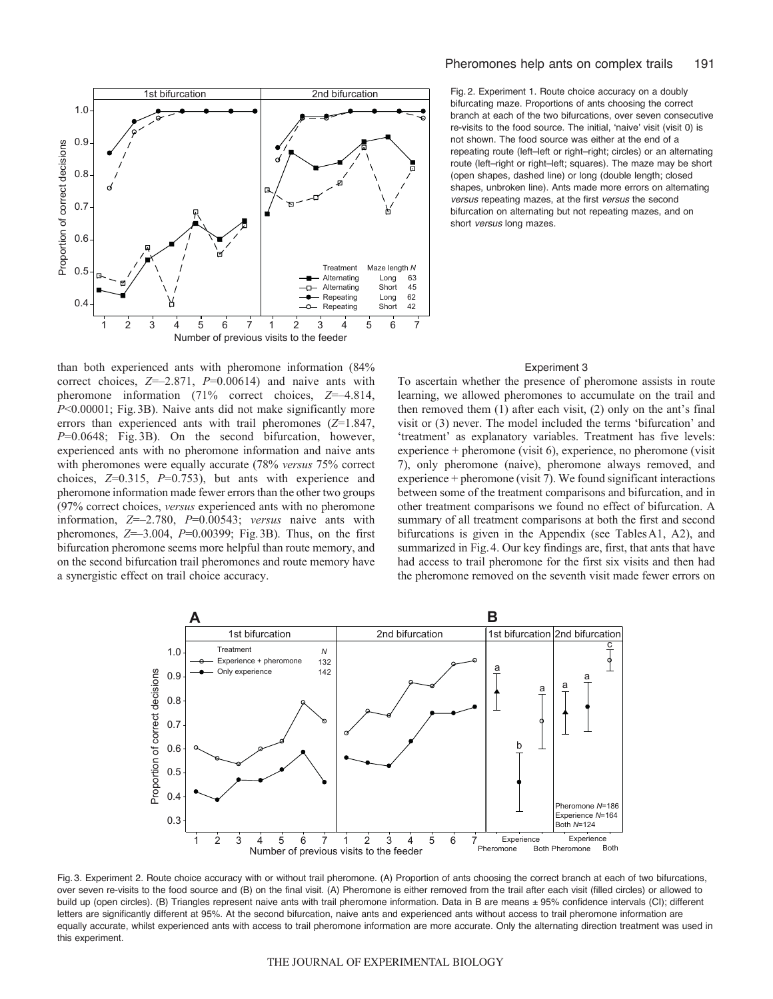

Fig. 2. Experiment 1. Route choice accuracy on a doubly bifurcating maze. Proportions of ants choosing the correct branch at each of the two bifurcations, over seven consecutive re-visits to the food source. The initial, ʻnaive' visit (visit 0) is not shown. The food source was either at the end of a repeating route (left–left or right–right; circles) or an alternating route (left–right or right–left; squares). The maze may be short (open shapes, dashed line) or long (double length; closed shapes, unbroken line). Ants made more errors on alternating *versus* repeating mazes, at the first *versus* the second bifurcation on alternating but not repeating mazes, and on short *versus* long mazes.

## Experiment 3

than both experienced ants with pheromone information (84% correct choices, *Z*=–2.871, *P*=0.00614) and naive ants with pheromone information (71% correct choices, *Z*=–4.814, *P*<0.00001; Fig.3B). Naive ants did not make significantly more errors than experienced ants with trail pheromones (*Z*=1.847, *P*=0.0648; Fig. 3B). On the second bifurcation, however, experienced ants with no pheromone information and naive ants with pheromones were equally accurate (78% *versus* 75% correct choices, *Z*=0.315, *P*=0.753), but ants with experience and pheromone information made fewer errors than the other two groups (97% correct choices, *versus* experienced ants with no pheromone information, *Z*=–2.780, *P*=0.00543; *versus* naive ants with pheromones, *Z*=–3.004, *P*=0.00399; Fig.3B). Thus, on the first bifurcation pheromone seems more helpful than route memory, and on the second bifurcation trail pheromones and route memory have a synergistic effect on trail choice accuracy.

To ascertain whether the presence of pheromone assists in route learning, we allowed pheromones to accumulate on the trail and then removed them (1) after each visit, (2) only on the ant's final visit or (3) never. The model included the terms 'bifurcation' and 'treatment' as explanatory variables. Treatment has five levels: experience + pheromone (visit 6), experience, no pheromone (visit 7), only pheromone (naive), pheromone always removed, and experience + pheromone (visit 7). We found significant interactions between some of the treatment comparisons and bifurcation, and in other treatment comparisons we found no effect of bifurcation. A summary of all treatment comparisons at both the first and second bifurcations is given in the Appendix (see TablesA1, A2), and summarized in Fig.4. Our key findings are, first, that ants that have had access to trail pheromone for the first six visits and then had the pheromone removed on the seventh visit made fewer errors on



Fig. 3. Experiment 2. Route choice accuracy with or without trail pheromone. (A) Proportion of ants choosing the correct branch at each of two bifurcations, over seven re-visits to the food source and (B) on the final visit. (A) Pheromone is either removed from the trail after each visit (filled circles) or allowed to build up (open circles). (B) Triangles represent naive ants with trail pheromone information. Data in B are means ± 95% confidence intervals (CI); different letters are significantly different at 95%. At the second bifurcation, naive ants and experienced ants without access to trail pheromone information are equally accurate, whilst experienced ants with access to trail pheromone information are more accurate. Only the alternating direction treatment was used in this experiment.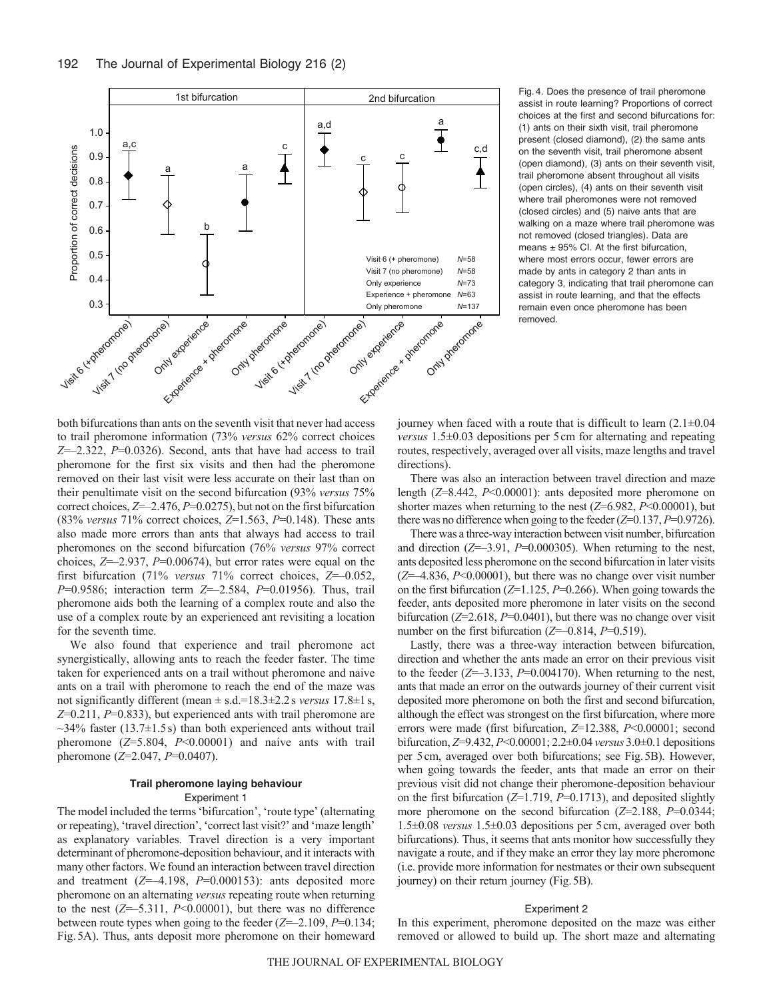

Fig. 4. Does the presence of trail pheromone assist in route learning? Proportions of correct choices at the first and second bifurcations for: (1) ants on their sixth visit, trail pheromone present (closed diamond), (2) the same ants on the seventh visit, trail pheromone absent (open diamond), (3) ants on their seventh visit, trail pheromone absent throughout all visits (open circles), (4) ants on their seventh visit where trail pheromones were not removed (closed circles) and (5) naive ants that are walking on a maze where trail pheromone was not removed (closed triangles). Data are means  $+95\%$  CI. At the first bifurcation where most errors occur, fewer errors are made by ants in category 2 than ants in category 3, indicating that trail pheromone can assist in route learning, and that the effects remain even once pheromone has been removed.

both bifurcations than ants on the seventh visit that never had access to trail pheromone information (73% *versus* 62% correct choices *Z*=–2.322, *P*=0.0326). Second, ants that have had access to trail pheromone for the first six visits and then had the pheromone removed on their last visit were less accurate on their last than on their penultimate visit on the second bifurcation (93% *versus* 75% correct choices, *Z*=–2.476, *P*=0.0275), but not on the first bifurcation (83% *versus* 71% correct choices, *Z*=1.563, *P*=0.148). These ants also made more errors than ants that always had access to trail pheromones on the second bifurcation (76% *versus* 97% correct choices, *Z*=–2.937, *P*=0.00674), but error rates were equal on the first bifurcation (71% *versus* 71% correct choices, *Z*=–0.052, *P*=0.9586; interaction term *Z*=–2.584, *P*=0.01956). Thus, trail pheromone aids both the learning of a complex route and also the use of a complex route by an experienced ant revisiting a location for the seventh time.

We also found that experience and trail pheromone act synergistically, allowing ants to reach the feeder faster. The time taken for experienced ants on a trail without pheromone and naive ants on a trail with pheromone to reach the end of the maze was not significantly different (mean ± s.d.=18.3±2.2s *versus* 17.8±1s, *Z*=0.211, *P*=0.833), but experienced ants with trail pheromone are  $\sim$ 34% faster (13.7 $\pm$ 1.5s) than both experienced ants without trail pheromone (*Z*=5.804, *P*<0.00001) and naive ants with trail pheromone (*Z*=2.047, *P*=0.0407).

#### **Trail pheromone laying behaviour** Experiment 1

The model included the terms 'bifurcation', 'route type' (alternating or repeating), 'travel direction', 'correct last visit?' and 'maze length' as explanatory variables. Travel direction is a very important determinant of pheromone-deposition behaviour, and it interacts with many other factors. We found an interaction between travel direction and treatment (*Z*=–4.198, *P*=0.000153): ants deposited more pheromone on an alternating *versus* repeating route when returning to the nest (*Z*=–5.311, *P*<0.00001), but there was no difference between route types when going to the feeder (*Z*=–2.109, *P*=0.134; Fig.5A). Thus, ants deposit more pheromone on their homeward journey when faced with a route that is difficult to learn  $(2.1\pm0.04)$ *versus* 1.5±0.03 depositions per 5cm for alternating and repeating routes, respectively, averaged over all visits, maze lengths and travel directions).

There was also an interaction between travel direction and maze length (*Z*=8.442, *P*<0.00001): ants deposited more pheromone on shorter mazes when returning to the nest (*Z*=6.982, *P*<0.00001), but there was no difference when going to the feeder (*Z*=0.137, *P*=0.9726).

There was a three-way interaction between visit number, bifurcation and direction (*Z*=–3.91, *P*=0.000305). When returning to the nest, ants deposited less pheromone on the second bifurcation in later visits (*Z*=–4.836, *P*<0.00001), but there was no change over visit number on the first bifurcation (*Z*=1.125, *P*=0.266). When going towards the feeder, ants deposited more pheromone in later visits on the second bifurcation (*Z*=2.618, *P*=0.0401), but there was no change over visit number on the first bifurcation (*Z*=–0.814, *P*=0.519).

Lastly, there was a three-way interaction between bifurcation, direction and whether the ants made an error on their previous visit to the feeder  $(Z=-3.133, P=0.004170)$ . When returning to the nest, ants that made an error on the outwards journey of their current visit deposited more pheromone on both the first and second bifurcation, although the effect was strongest on the first bifurcation, where more errors were made (first bifurcation, *Z*=12.388, *P*<0.00001; second bifurcation, *Z*=9.432, *P*<0.00001; 2.2±0.04 *versus* 3.0±0.1 depositions per 5cm, averaged over both bifurcations; see Fig.5B). However, when going towards the feeder, ants that made an error on their previous visit did not change their pheromone-deposition behaviour on the first bifurcation (*Z*=1.719, *P*=0.1713), and deposited slightly more pheromone on the second bifurcation (*Z*=2.188, *P*=0.0344; 1.5±0.08 *versus* 1.5±0.03 depositions per 5cm, averaged over both bifurcations). Thus, it seems that ants monitor how successfully they navigate a route, and if they make an error they lay more pheromone (i.e. provide more information for nestmates or their own subsequent journey) on their return journey (Fig.5B).

## Experiment 2

In this experiment, pheromone deposited on the maze was either removed or allowed to build up. The short maze and alternating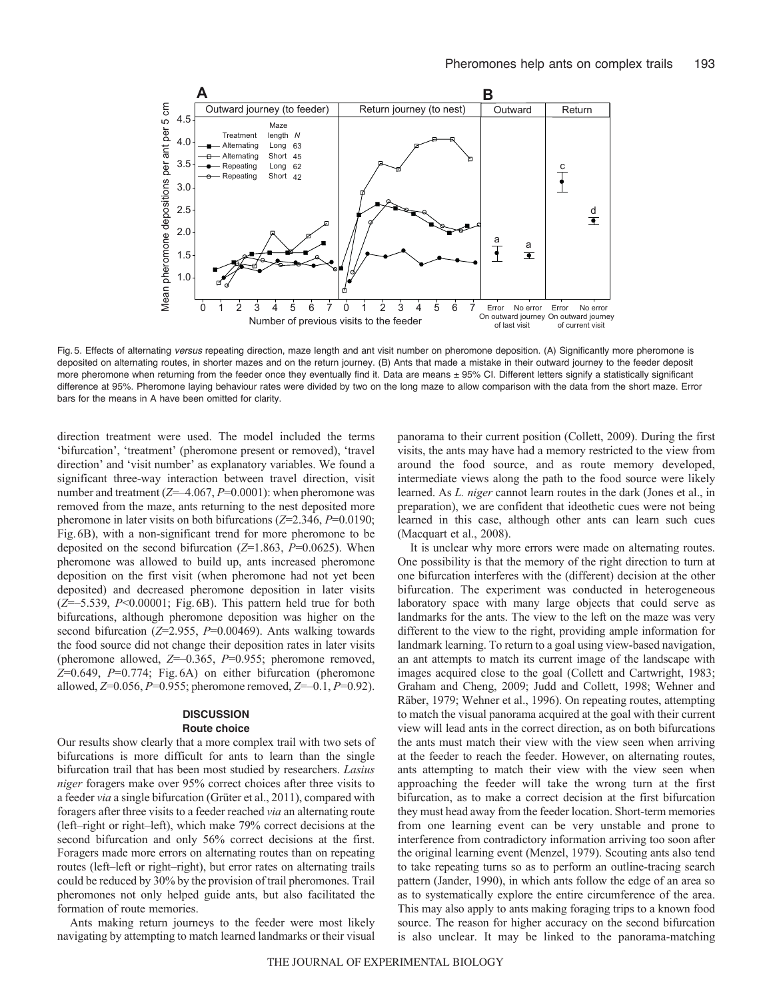

Fig. 5. Effects of alternating *versus* repeating direction, maze length and ant visit number on pheromone deposition. (A) Significantly more pheromone is deposited on alternating routes, in shorter mazes and on the return journey. (B) Ants that made a mistake in their outward journey to the feeder deposit more pheromone when returning from the feeder once they eventually find it. Data are means ± 95% CI. Different letters signify a statistically significant difference at 95%. Pheromone laying behaviour rates were divided by two on the long maze to allow comparison with the data from the short maze. Error bars for the means in A have been omitted for clarity.

direction treatment were used. The model included the terms 'bifurcation', 'treatment' (pheromone present or removed), 'travel direction' and 'visit number' as explanatory variables. We found a significant three-way interaction between travel direction, visit number and treatment (*Z*=–4.067, *P*=0.0001): when pheromone was removed from the maze, ants returning to the nest deposited more pheromone in later visits on both bifurcations (*Z*=2.346, *P*=0.0190; Fig.6B), with a non-significant trend for more pheromone to be deposited on the second bifurcation (*Z*=1.863, *P*=0.0625). When pheromone was allowed to build up, ants increased pheromone deposition on the first visit (when pheromone had not yet been deposited) and decreased pheromone deposition in later visits (*Z*=–5.539, *P*<0.00001; Fig.6B). This pattern held true for both bifurcations, although pheromone deposition was higher on the second bifurcation (*Z*=2.955, *P*=0.00469). Ants walking towards the food source did not change their deposition rates in later visits (pheromone allowed, *Z*=–0.365, *P*=0.955; pheromone removed, *Z*=0.649, *P*=0.774; Fig. 6A) on either bifurcation (pheromone allowed, *Z*=0.056, *P*=0.955; pheromone removed, *Z*=–0.1, *P*=0.92).

## **DISCUSSION Route choice**

Our results show clearly that a more complex trail with two sets of bifurcations is more difficult for ants to learn than the single bifurcation trail that has been most studied by researchers. *Lasius niger* foragers make over 95% correct choices after three visits to a feeder *via* a single bifurcation (Grüter et al., 2011), compared with foragers after three visits to a feeder reached *via* an alternating route (left–right or right–left), which make 79% correct decisions at the second bifurcation and only 56% correct decisions at the first. Foragers made more errors on alternating routes than on repeating routes (left–left or right–right), but error rates on alternating trails could be reduced by 30% by the provision of trail pheromones. Trail pheromones not only helped guide ants, but also facilitated the formation of route memories.

Ants making return journeys to the feeder were most likely navigating by attempting to match learned landmarks or their visual panorama to their current position (Collett, 2009). During the first visits, the ants may have had a memory restricted to the view from around the food source, and as route memory developed, intermediate views along the path to the food source were likely learned. As *L. niger* cannot learn routes in the dark (Jones et al., in preparation), we are confident that ideothetic cues were not being learned in this case, although other ants can learn such cues (Macquart et al., 2008).

It is unclear why more errors were made on alternating routes. One possibility is that the memory of the right direction to turn at one bifurcation interferes with the (different) decision at the other bifurcation. The experiment was conducted in heterogeneous laboratory space with many large objects that could serve as landmarks for the ants. The view to the left on the maze was very different to the view to the right, providing ample information for landmark learning. To return to a goal using view-based navigation, an ant attempts to match its current image of the landscape with images acquired close to the goal (Collett and Cartwright, 1983; Graham and Cheng, 2009; Judd and Collett, 1998; Wehner and Räber, 1979; Wehner et al., 1996). On repeating routes, attempting to match the visual panorama acquired at the goal with their current view will lead ants in the correct direction, as on both bifurcations the ants must match their view with the view seen when arriving at the feeder to reach the feeder. However, on alternating routes, ants attempting to match their view with the view seen when approaching the feeder will take the wrong turn at the first bifurcation, as to make a correct decision at the first bifurcation they must head away from the feeder location. Short-term memories from one learning event can be very unstable and prone to interference from contradictory information arriving too soon after the original learning event (Menzel, 1979). Scouting ants also tend to take repeating turns so as to perform an outline-tracing search pattern (Jander, 1990), in which ants follow the edge of an area so as to systematically explore the entire circumference of the area. This may also apply to ants making foraging trips to a known food source. The reason for higher accuracy on the second bifurcation is also unclear. It may be linked to the panorama-matching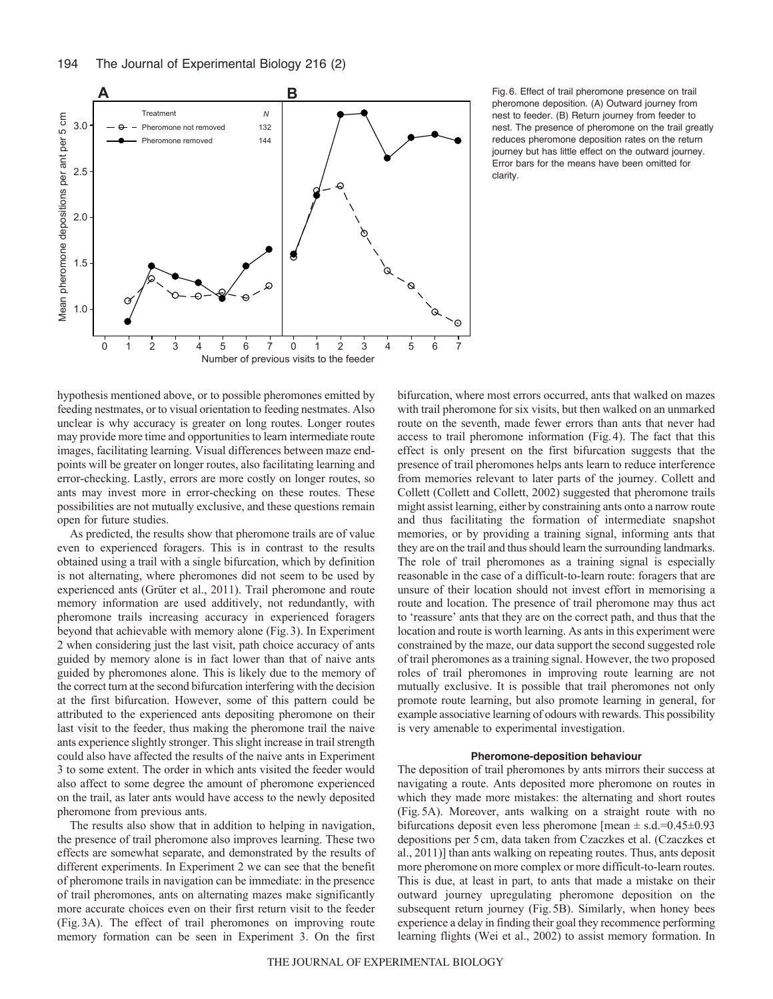

Fig. 6. Effect of trail pheromone presence on trail pheromone deposition. (A) Outward journey from nest to feeder. (B) Return journey from feeder to nest. The presence of pheromone on the trail greatly reduces pheromone deposition rates on the return journey but has little effect on the outward journey. Error bars for the means have been omitted for clarity.

hypothesis mentioned above, or to possible pheromones emitted by feeding nestmates, or to visual orientation to feeding nestmates. Also unclear is why accuracy is greater on long routes. Longer routes may provide more time and opportunities to learn intermediate route images, facilitating learning. Visual differences between maze endpoints will be greater on longer routes, also facilitating learning and error-checking. Lastly, errors are more costly on longer routes, so ants may invest more in error-checking on these routes. These possibilities are not mutually exclusive, and these questions remain open for future studies.

As predicted, the results show that pheromone trails are of value even to experienced foragers. This is in contrast to the results obtained using a trail with a single bifurcation, which by definition is not alternating, where pheromones did not seem to be used by experienced ants (Grüter et al., 2011). Trail pheromone and route memory information are used additively, not redundantly, with pheromone trails increasing accuracy in experienced foragers beyond that achievable with memory alone (Fig.3). In Experiment 2 when considering just the last visit, path choice accuracy of ants guided by memory alone is in fact lower than that of naive ants guided by pheromones alone. This is likely due to the memory of the correct turn at the second bifurcation interfering with the decision at the first bifurcation. However, some of this pattern could be attributed to the experienced ants depositing pheromone on their last visit to the feeder, thus making the pheromone trail the naive ants experience slightly stronger. This slight increase in trail strength could also have affected the results of the naive ants in Experiment 3 to some extent. The order in which ants visited the feeder would also affect to some degree the amount of pheromone experienced on the trail, as later ants would have access to the newly deposited pheromone from previous ants.

The results also show that in addition to helping in navigation, the presence of trail pheromone also improves learning. These two effects are somewhat separate, and demonstrated by the results of different experiments. In Experiment 2 we can see that the benefit of pheromone trails in navigation can be immediate: in the presence of trail pheromones, ants on alternating mazes make significantly more accurate choices even on their first return visit to the feeder (Fig.3A). The effect of trail pheromones on improving route memory formation can be seen in Experiment 3. On the first

bifurcation, where most errors occurred, ants that walked on mazes with trail pheromone for six visits, but then walked on an unmarked route on the seventh, made fewer errors than ants that never had access to trail pheromone information (Fig.4). The fact that this effect is only present on the first bifurcation suggests that the presence of trail pheromones helps ants learn to reduce interference from memories relevant to later parts of the journey. Collett and Collett (Collett and Collett, 2002) suggested that pheromone trails might assist learning, either by constraining ants onto a narrow route and thus facilitating the formation of intermediate snapshot memories, or by providing a training signal, informing ants that they are on the trail and thus should learn the surrounding landmarks. The role of trail pheromones as a training signal is especially reasonable in the case of a difficult-to-learn route: foragers that are unsure of their location should not invest effort in memorising a route and location. The presence of trail pheromone may thus act to 'reassure' ants that they are on the correct path, and thus that the location and route is worth learning. As ants in this experiment were constrained by the maze, our data support the second suggested role of trail pheromones as a training signal. However, the two proposed roles of trail pheromones in improving route learning are not mutually exclusive. It is possible that trail pheromones not only promote route learning, but also promote learning in general, for example associative learning of odours with rewards. This possibility is very amenable to experimental investigation.

#### **Pheromone-deposition behaviour**

The deposition of trail pheromones by ants mirrors their success at navigating a route. Ants deposited more pheromone on routes in which they made more mistakes: the alternating and short routes (Fig.5A). Moreover, ants walking on a straight route with no bifurcations deposit even less pheromone  $[mean \pm s.d.=0.45\pm0.93]$ depositions per 5cm, data taken from Czaczkes et al. (Czaczkes et al., 2011)] than ants walking on repeating routes. Thus, ants deposit more pheromone on more complex or more difficult-to-learn routes. This is due, at least in part, to ants that made a mistake on their outward journey upregulating pheromone deposition on the subsequent return journey (Fig.5B). Similarly, when honey bees experience a delay in finding their goal they recommence performing learning flights (Wei et al., 2002) to assist memory formation. In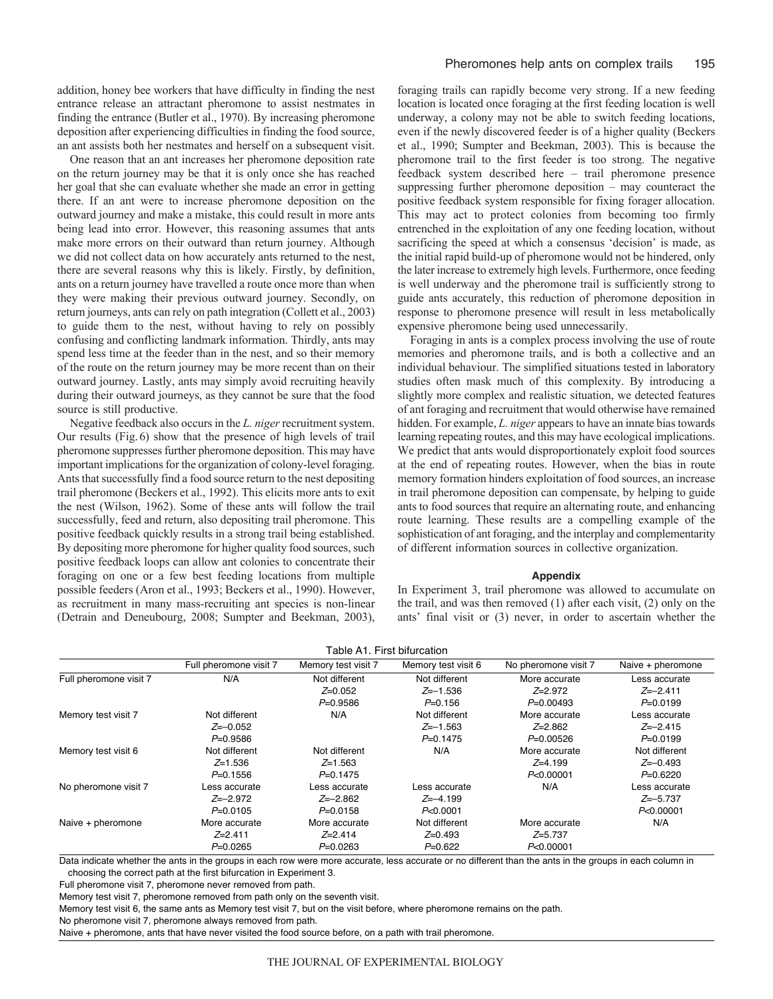addition, honey bee workers that have difficulty in finding the nest entrance release an attractant pheromone to assist nestmates in finding the entrance (Butler et al., 1970). By increasing pheromone deposition after experiencing difficulties in finding the food source, an ant assists both her nestmates and herself on a subsequent visit.

One reason that an ant increases her pheromone deposition rate on the return journey may be that it is only once she has reached her goal that she can evaluate whether she made an error in getting there. If an ant were to increase pheromone deposition on the outward journey and make a mistake, this could result in more ants being lead into error. However, this reasoning assumes that ants make more errors on their outward than return journey. Although we did not collect data on how accurately ants returned to the nest, there are several reasons why this is likely. Firstly, by definition, ants on a return journey have travelled a route once more than when they were making their previous outward journey. Secondly, on return journeys, ants can rely on path integration (Collett et al., 2003) to guide them to the nest, without having to rely on possibly confusing and conflicting landmark information. Thirdly, ants may spend less time at the feeder than in the nest, and so their memory of the route on the return journey may be more recent than on their outward journey. Lastly, ants may simply avoid recruiting heavily during their outward journeys, as they cannot be sure that the food source is still productive.

Negative feedback also occurs in the *L. niger*recruitment system. Our results (Fig.6) show that the presence of high levels of trail pheromone suppresses further pheromone deposition. This may have important implications for the organization of colony-level foraging. Ants that successfully find a food source return to the nest depositing trail pheromone (Beckers et al., 1992). This elicits more ants to exit the nest (Wilson, 1962). Some of these ants will follow the trail successfully, feed and return, also depositing trail pheromone. This positive feedback quickly results in a strong trail being established. By depositing more pheromone for higher quality food sources, such positive feedback loops can allow ant colonies to concentrate their foraging on one or a few best feeding locations from multiple possible feeders (Aron et al., 1993; Beckers et al., 1990). However, as recruitment in many mass-recruiting ant species is non-linear (Detrain and Deneubourg, 2008; Sumpter and Beekman, 2003), foraging trails can rapidly become very strong. If a new feeding location is located once foraging at the first feeding location is well underway, a colony may not be able to switch feeding locations, even if the newly discovered feeder is of a higher quality (Beckers et al., 1990; Sumpter and Beekman, 2003). This is because the pheromone trail to the first feeder is too strong. The negative feedback system described here – trail pheromone presence suppressing further pheromone deposition – may counteract the positive feedback system responsible for fixing forager allocation. This may act to protect colonies from becoming too firmly entrenched in the exploitation of any one feeding location, without sacrificing the speed at which a consensus 'decision' is made, as the initial rapid build-up of pheromone would not be hindered, only the later increase to extremely high levels. Furthermore, once feeding is well underway and the pheromone trail is sufficiently strong to guide ants accurately, this reduction of pheromone deposition in response to pheromone presence will result in less metabolically expensive pheromone being used unnecessarily.

Foraging in ants is a complex process involving the use of route memories and pheromone trails, and is both a collective and an individual behaviour. The simplified situations tested in laboratory studies often mask much of this complexity. By introducing a slightly more complex and realistic situation, we detected features of ant foraging and recruitment that would otherwise have remained hidden. For example, *L. niger* appears to have an innate bias towards learning repeating routes, and this may have ecological implications. We predict that ants would disproportionately exploit food sources at the end of repeating routes. However, when the bias in route memory formation hinders exploitation of food sources, an increase in trail pheromone deposition can compensate, by helping to guide ants to food sources that require an alternating route, and enhancing route learning. These results are a compelling example of the sophistication of ant foraging, and the interplay and complementarity of different information sources in collective organization.

#### **Appendix**

In Experiment 3, trail pheromone was allowed to accumulate on the trail, and was then removed (1) after each visit, (2) only on the ants' final visit or (3) never, in order to ascertain whether the

| Table A1. First bifurcation |                        |                     |                     |                      |                   |  |  |
|-----------------------------|------------------------|---------------------|---------------------|----------------------|-------------------|--|--|
|                             | Full pheromone visit 7 | Memory test visit 7 | Memory test visit 6 | No pheromone visit 7 | Naive + pheromone |  |  |
| Full pheromone visit 7      | N/A                    | Not different       | Not different       | More accurate        | Less accurate     |  |  |
|                             |                        | $Z=0.052$           | $Z = -1.536$        | $Z = 2.972$          | $Z=-2.411$        |  |  |
|                             |                        | $P = 0.9586$        | $P = 0.156$         | $P=0.00493$          | $P=0.0199$        |  |  |
| Memory test visit 7         | Not different          | N/A                 | Not different       | More accurate        | Less accurate     |  |  |
|                             | $Z = -0.052$           |                     | $Z = -1.563$        | $Z = 2.862$          | $Z=-2.415$        |  |  |
|                             | $P = 0.9586$           |                     | $P=0.1475$          | $P=0.00526$          | $P=0.0199$        |  |  |
| Memory test visit 6         | Not different          | Not different       | N/A                 | More accurate        | Not different     |  |  |
|                             | $Z = 1.536$            | $Z = 1.563$         |                     | $Z = 4.199$          | $Z=-0.493$        |  |  |
|                             | $P=0.1556$             | $P = 0.1475$        |                     | P<0.00001            | $P=0.6220$        |  |  |
| No pheromone visit 7        | Less accurate          | Less accurate       | Less accurate       | N/A                  | Less accurate     |  |  |
|                             | $Z = -2.972$           | $Z=-2.862$          | $Z=-4.199$          |                      | $Z = -5.737$      |  |  |
|                             | $P=0.0105$             | $P = 0.0158$        | P<0.0001            |                      | P<0.00001         |  |  |
| Naive + pheromone           | More accurate          | More accurate       | Not different       | More accurate        | N/A               |  |  |
|                             | $Z = 2.411$            | $Z = 2.414$         | $Z=0.493$           | $Z = 5.737$          |                   |  |  |
|                             | $P=0.0265$             | $P = 0.0263$        | $P=0.622$           | P<0.00001            |                   |  |  |

Data indicate whether the ants in the groups in each row were more accurate, less accurate or no different than the ants in the groups in each column in choosing the correct path at the first bifurcation in Experiment 3.

Full pheromone visit 7, pheromone never removed from path.

Memory test visit 7, pheromone removed from path only on the seventh visit.

Memory test visit 6, the same ants as Memory test visit 7, but on the visit before, where pheromone remains on the path.

No pheromone visit 7, pheromone always removed from path.

Naive + pheromone, ants that have never visited the food source before, on a path with trail pheromone.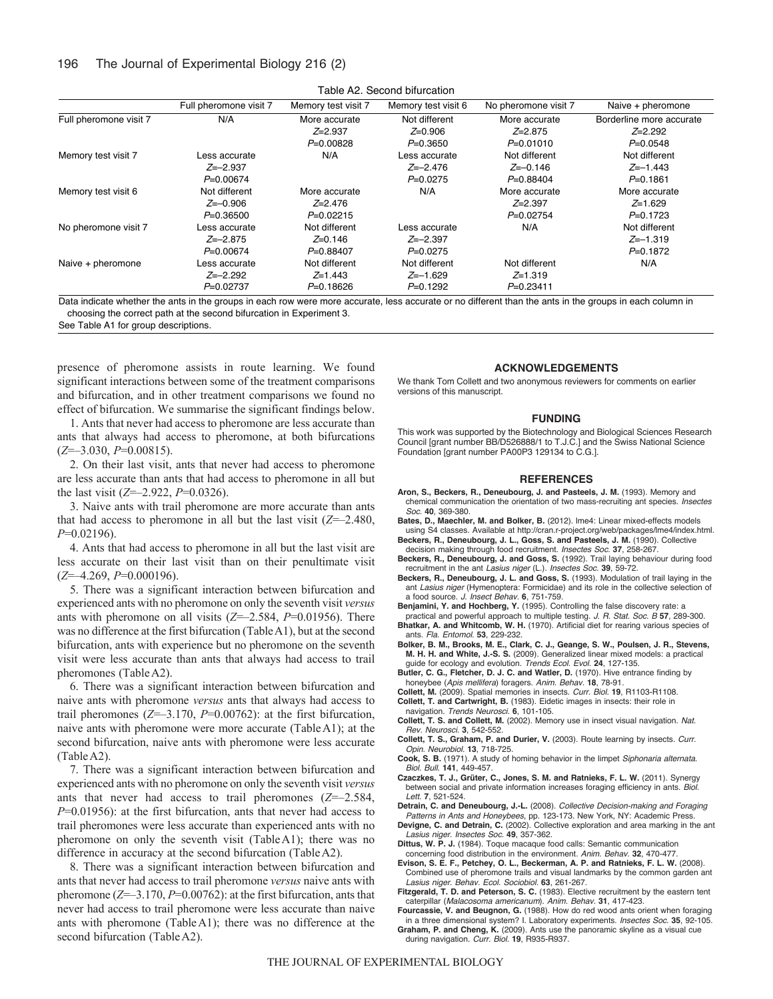#### 196 The Journal of Experimental Biology 216 (2)

|                        |                        |                     | Table A2. Second bifurcation |                      |                          |
|------------------------|------------------------|---------------------|------------------------------|----------------------|--------------------------|
|                        | Full pheromone visit 7 | Memory test visit 7 | Memory test visit 6          | No pheromone visit 7 | Naive + pheromone        |
| Full pheromone visit 7 | N/A                    | More accurate       | Not different                | More accurate        | Borderline more accurate |
|                        |                        | $Z = 2.937$         | $Z=0.906$                    | $Z = 2.875$          | $Z = 2.292$              |
|                        |                        | $P=0.00828$         | $P = 0.3650$                 | $P=0.01010$          | $P = 0.0548$             |
| Memory test visit 7    | Less accurate          | N/A                 | Less accurate                | Not different        | Not different            |
|                        | $Z=-2.937$             |                     | $Z = -2.476$                 | $Z = -0.146$         | $Z = -1.443$             |
|                        | $P=0.00674$            |                     | $P=0.0275$                   | $P = 0.88404$        | $P = 0.1861$             |
| Memory test visit 6    | Not different          | More accurate       | N/A                          | More accurate        | More accurate            |
|                        | $Z = -0.906$           | Z=2.476             |                              | $Z = 2.397$          | $Z = 1.629$              |
|                        | $P = 0.36500$          | $P=0.02215$         |                              | $P=0.02754$          | $P=0.1723$               |
| No pheromone visit 7   | Less accurate          | Not different       | Less accurate                | N/A                  | Not different            |
|                        | $Z=-2.875$             | $Z = 0.146$         | $Z=-2.397$                   |                      | $Z = -1.319$             |
|                        | $P = 0.00674$          | $P=0.88407$         | $P=0.0275$                   |                      | $P=0.1872$               |
| Naive + pheromone      | Less accurate          | Not different       | Not different                | Not different        | N/A                      |
|                        | Z=-2.292               | Z=1.443             | $Z = -1.629$                 | $Z = 1.319$          |                          |
|                        | $P=0.02737$            | $P = 0.18626$       | $P = 0.1292$                 | $P=0.23411$          |                          |

Data indicate whether the ants in the groups in each row were more accurate, less accurate or no different than the ants in the groups in each column in choosing the correct path at the second bifurcation in Experiment 3.

See Table A1 for group descriptions.

presence of pheromone assists in route learning. We found significant interactions between some of the treatment comparisons and bifurcation, and in other treatment comparisons we found no effect of bifurcation. We summarise the significant findings below.

1. Ants that never had access to pheromone are less accurate than ants that always had access to pheromone, at both bifurcations (*Z*=–3.030, *P*=0.00815).

2. On their last visit, ants that never had access to pheromone are less accurate than ants that had access to pheromone in all but the last visit (*Z*=–2.922, *P*=0.0326).

3. Naive ants with trail pheromone are more accurate than ants that had access to pheromone in all but the last visit (*Z*=–2.480, *P*=0.02196).

4. Ants that had access to pheromone in all but the last visit are less accurate on their last visit than on their penultimate visit (*Z*=–4.269, *P*=0.000196).

5. There was a significant interaction between bifurcation and experienced ants with no pheromone on only the seventh visit *versus* ants with pheromone on all visits (*Z*=–2.584, *P*=0.01956). There was no difference at the first bifurcation (TableA1), but at the second bifurcation, ants with experience but no pheromone on the seventh visit were less accurate than ants that always had access to trail pheromones (Table A2).

6. There was a significant interaction between bifurcation and naive ants with pheromone *versus* ants that always had access to trail pheromones  $(Z=-3.170, P=0.00762)$ : at the first bifurcation, naive ants with pheromone were more accurate (TableA1); at the second bifurcation, naive ants with pheromone were less accurate (TableA2).

7. There was a significant interaction between bifurcation and experienced ants with no pheromone on only the seventh visit *versus* ants that never had access to trail pheromones (*Z*=–2.584, *P*=0.01956): at the first bifurcation, ants that never had access to trail pheromones were less accurate than experienced ants with no pheromone on only the seventh visit (TableA1); there was no difference in accuracy at the second bifurcation (TableA2).

8. There was a significant interaction between bifurcation and ants that never had access to trail pheromone *versus* naive ants with pheromone  $(Z=-3.170, P=0.00762)$ : at the first bifurcation, ants that never had access to trail pheromone were less accurate than naive ants with pheromone (TableA1); there was no difference at the second bifurcation (Table A2).

## **ACKNOWLEDGEMENTS**

We thank Tom Collett and two anonymous reviewers for comments on earlier versions of this manuscript.

#### **FUNDING**

This work was supported by the Biotechnology and Biological Sciences Research Council [grant number BB/D526888/1 to T.J.C.] and the Swiss National Science Foundation [grant number PA00P3 129134 to C.G.].

#### **REFERENCES**

- **Aron, S., Beckers, R., Deneubourg, J. and Pasteels, J. M.** (1993). Memory and chemical communication the orientation of two mass-recruiting ant species. *Insectes Soc.* **40**, 369-380.
- **Bates, D., Maechler, M. and Bolker, B.** (2012). lme4: Linear mixed-effects models using S4 classes. Available at http://cran.r-project.org/web/packages/lme4/index.html.
- **Beckers, R., Deneubourg, J. L., Goss, S. and Pasteels, J. M.** (1990). Collective decision making through food recruitment. *Insectes Soc.* **37**, 258-267.
- **Beckers, R., Deneubourg, J. and Goss, S.** (1992). Trail laying behaviour during food recruitment in the ant *Lasius niger* (L.). *Insectes Soc.* **39**, 59-72.
- **Beckers, R., Deneubourg, J. L. and Goss, S.** (1993). Modulation of trail laying in the ant *Lasius niger* (Hymenoptera: Formicidae) and its role in the collective selection of a food source. *J. Insect Behav.* **6**, 751-759.
- **Benjamini, Y. and Hochberg, Y.** (1995). Controlling the false discovery rate: a
- practical and powerful approach to multiple testing. *J. R. Stat. Soc. B* **57**, 289-300. **Bhatkar, A. and Whitcomb, W. H.** (1970). Artificial diet for rearing various species of ants. *Fla. Entomol.* **53**, 229-232.
- **Bolker, B. M., Brooks, M. E., Clark, C. J., Geange, S. W., Poulsen, J. R., Stevens, M. H. H. and White, J.-S. S.** (2009). Generalized linear mixed models: a practical guide for ecology and evolution. *Trends Ecol. Evol.* **24**, 127-135.
- **Butler, C. G., Fletcher, D. J. C. and Watler, D.** (1970). Hive entrance finding by honeybee (*Apis mellifera*) foragers. *Anim. Behav.* **18**, 78-91.
- **Collett, M.** (2009). Spatial memories in insects. *Curr. Biol.* **19**, R1103-R1108.
- **Collett, T. and Cartwright, B.** (1983). Eidetic images in insects: their role in navigation. *Trends Neurosci.* **6**, 101-105.
- **Collett, T. S. and Collett, M.** (2002). Memory use in insect visual navigation. *Nat. Rev. Neurosci.* **3**, 542-552.
- **Collett, T. S., Graham, P. and Durier, V.** (2003). Route learning by insects. *Curr. Opin. Neurobiol.* **13**, 718-725.
- **Cook, S. B.** (1971). A study of homing behavior in the limpet *Siphonaria alternata*. *Biol. Bull.* **141**, 449-457.
- **Czaczkes, T. J., Grüter, C., Jones, S. M. and Ratnieks, F. L. W.** (2011). Synergy between social and private information increases foraging efficiency in ants. *Biol. Lett.* **7**, 521-524.
- **Detrain, C. and Deneubourg, J.-L.** (2008). *Collective Decision-making and Foraging Patterns in Ants and Honeybees*, pp. 123-173. New York, NY: Academic Press.
- **Devigne, C. and Detrain, C.** (2002). Collective exploration and area marking in the ant *Lasius niger*. *Insectes Soc.* **49**, 357-362.
- **Dittus, W. P. J.** (1984). Toque macaque food calls: Semantic communication concerning food distribution in the environment. *Anim. Behav.* **32**, 470-477.
- **Evison, S. E. F., Petchey, O. L., Beckerman, A. P. and Ratnieks, F. L. W.** (2008). Combined use of pheromone trails and visual landmarks by the common garden ant *Lasius niger*. *Behav. Ecol. Sociobiol.* **63**, 261-267.
- **Fitzgerald, T. D. and Peterson, S. C.** (1983). Elective recruitment by the eastern tent caterpillar (*Malacosoma americanum*). *Anim. Behav.* **31**, 417-423.
- **Fourcassie, V. and Beugnon, G.** (1988). How do red wood ants orient when foraging in a three dimensional system? I. Laboratory experiments. *Insectes Soc.* **35**, 92-105. **Graham, P. and Cheng, K.** (2009). Ants use the panoramic skyline as a visual cue during navigation. *Curr. Biol.* **19**, R935-R937.